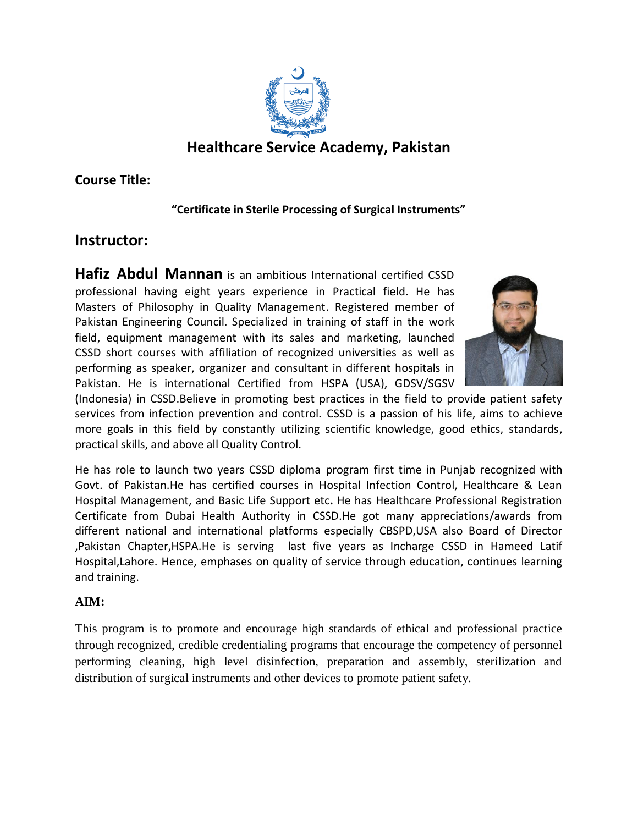

**Course Title:**

## **"Certificate in Sterile Processing of Surgical Instruments"**

# **Instructor:**

**Hafiz Abdul Mannan** is an ambitious International certified CSSD professional having eight years experience in Practical field. He has Masters of Philosophy in Quality Management. Registered member of Pakistan Engineering Council. Specialized in training of staff in the work field, equipment management with its sales and marketing, launched CSSD short courses with affiliation of recognized universities as well as performing as speaker, organizer and consultant in different hospitals in Pakistan. He is international Certified from HSPA (USA), GDSV/SGSV



(Indonesia) in CSSD.Believe in promoting best practices in the field to provide patient safety services from infection prevention and control. CSSD is a passion of his life, aims to achieve more goals in this field by constantly utilizing scientific knowledge, good ethics, standards, practical skills, and above all Quality Control.

He has role to launch two years CSSD diploma program first time in Punjab recognized with Govt. of Pakistan.He has certified courses in Hospital Infection Control, Healthcare & Lean Hospital Management, and Basic Life Support etc**.** He has Healthcare Professional Registration Certificate from Dubai Health Authority in CSSD.He got many appreciations/awards from different national and international platforms especially CBSPD,USA also Board of Director ,Pakistan Chapter,HSPA.He is serving last five years as Incharge CSSD in Hameed Latif Hospital,Lahore. Hence, emphases on quality of service through education, continues learning and training.

## **AIM:**

This program is to promote and encourage high standards of ethical and professional practice through recognized, credible credentialing programs that encourage the competency of personnel performing cleaning, high level disinfection, preparation and assembly, sterilization and distribution of surgical instruments and other devices to promote patient safety.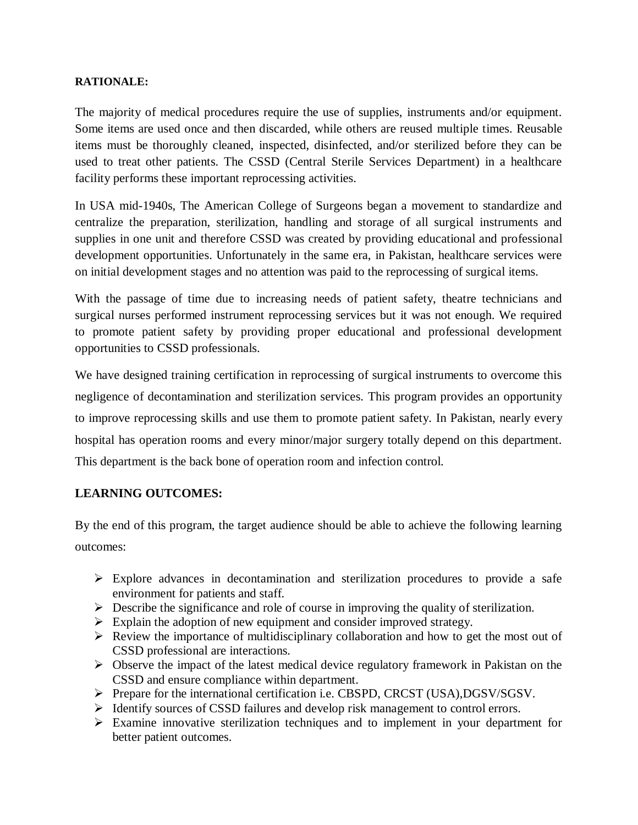### **RATIONALE:**

The majority of medical procedures require the use of supplies, instruments and/or equipment. Some items are used once and then discarded, while others are reused multiple times. Reusable items must be thoroughly cleaned, inspected, disinfected, and/or sterilized before they can be used to treat other patients. The CSSD (Central Sterile Services Department) in a healthcare facility performs these important reprocessing activities.

In USA mid-1940s, The American College of Surgeons began a movement to standardize and centralize the preparation, sterilization, handling and storage of all surgical instruments and supplies in one unit and therefore CSSD was created by providing educational and professional development opportunities. Unfortunately in the same era, in Pakistan, healthcare services were on initial development stages and no attention was paid to the reprocessing of surgical items.

With the passage of time due to increasing needs of patient safety, theatre technicians and surgical nurses performed instrument reprocessing services but it was not enough. We required to promote patient safety by providing proper educational and professional development opportunities to CSSD professionals.

We have designed training certification in reprocessing of surgical instruments to overcome this negligence of decontamination and sterilization services. This program provides an opportunity to improve reprocessing skills and use them to promote patient safety. In Pakistan, nearly every hospital has operation rooms and every minor/major surgery totally depend on this department. This department is the back bone of operation room and infection control.

## **LEARNING OUTCOMES:**

By the end of this program, the target audience should be able to achieve the following learning outcomes:

- $\triangleright$  Explore advances in decontamination and sterilization procedures to provide a safe environment for patients and staff.
- $\triangleright$  Describe the significance and role of course in improving the quality of sterilization.
- $\triangleright$  Explain the adoption of new equipment and consider improved strategy.
- $\triangleright$  Review the importance of multidisciplinary collaboration and how to get the most out of CSSD professional are interactions.
- $\triangleright$  Observe the impact of the latest medical device regulatory framework in Pakistan on the CSSD and ensure compliance within department.
- Prepare for the international certification i.e. CBSPD, CRCST (USA),DGSV/SGSV.
- Identify sources of CSSD failures and develop risk management to control errors.
- $\triangleright$  Examine innovative sterilization techniques and to implement in your department for better patient outcomes.